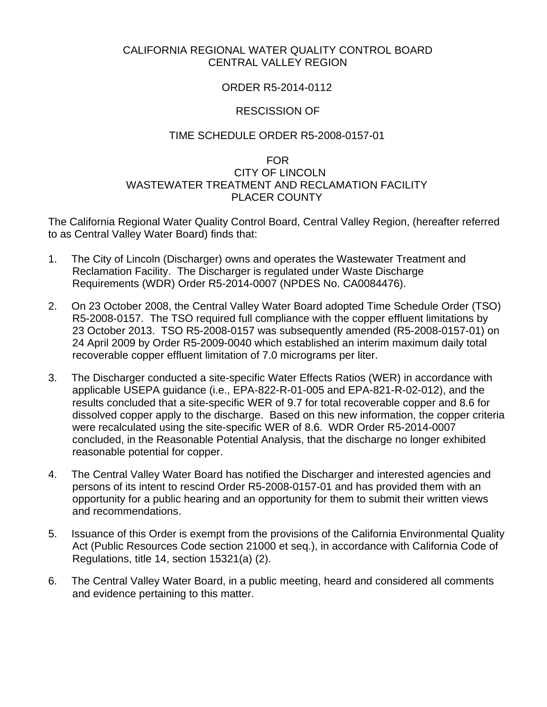## CALIFORNIA REGIONAL WATER QUALITY CONTROL BOARD CENTRAL VALLEY REGION

# ORDER R5-2014-0112

# RESCISSION OF

## TIME SCHEDULE ORDER R5-2008-0157-01

## FOR CITY OF LINCOLN WASTEWATER TREATMENT AND RECLAMATION FACILITY PLACER COUNTY

The California Regional Water Quality Control Board, Central Valley Region, (hereafter referred to as Central Valley Water Board) finds that:

- 1. The City of Lincoln (Discharger) owns and operates the Wastewater Treatment and Reclamation Facility. The Discharger is regulated under Waste Discharge Requirements (WDR) Order R5-2014-0007 (NPDES No. CA0084476).
- 2. On 23 October 2008, the Central Valley Water Board adopted Time Schedule Order (TSO) R5-2008-0157. The TSO required full compliance with the copper effluent limitations by 23 October 2013. TSO R5-2008-0157 was subsequently amended (R5-2008-0157-01) on 24 April 2009 by Order R5-2009-0040 which established an interim maximum daily total recoverable copper effluent limitation of 7.0 micrograms per liter.
- 3. The Discharger conducted a site-specific Water Effects Ratios (WER) in accordance with applicable USEPA guidance (i.e., EPA-822-R-01-005 and EPA-821-R-02-012), and the results concluded that a site-specific WER of 9.7 for total recoverable copper and 8.6 for dissolved copper apply to the discharge. Based on this new information, the copper criteria were recalculated using the site-specific WER of 8.6. WDR Order R5-2014-0007 concluded, in the Reasonable Potential Analysis, that the discharge no longer exhibited reasonable potential for copper.
- 4. The Central Valley Water Board has notified the Discharger and interested agencies and persons of its intent to rescind Order R5-2008-0157-01 and has provided them with an opportunity for a public hearing and an opportunity for them to submit their written views and recommendations.
- 5. Issuance of this Order is exempt from the provisions of the California Environmental Quality Act (Public Resources Code section 21000 et seq.), in accordance with California Code of Regulations, title 14, section 15321(a) (2).
- 6. The Central Valley Water Board, in a public meeting, heard and considered all comments and evidence pertaining to this matter.